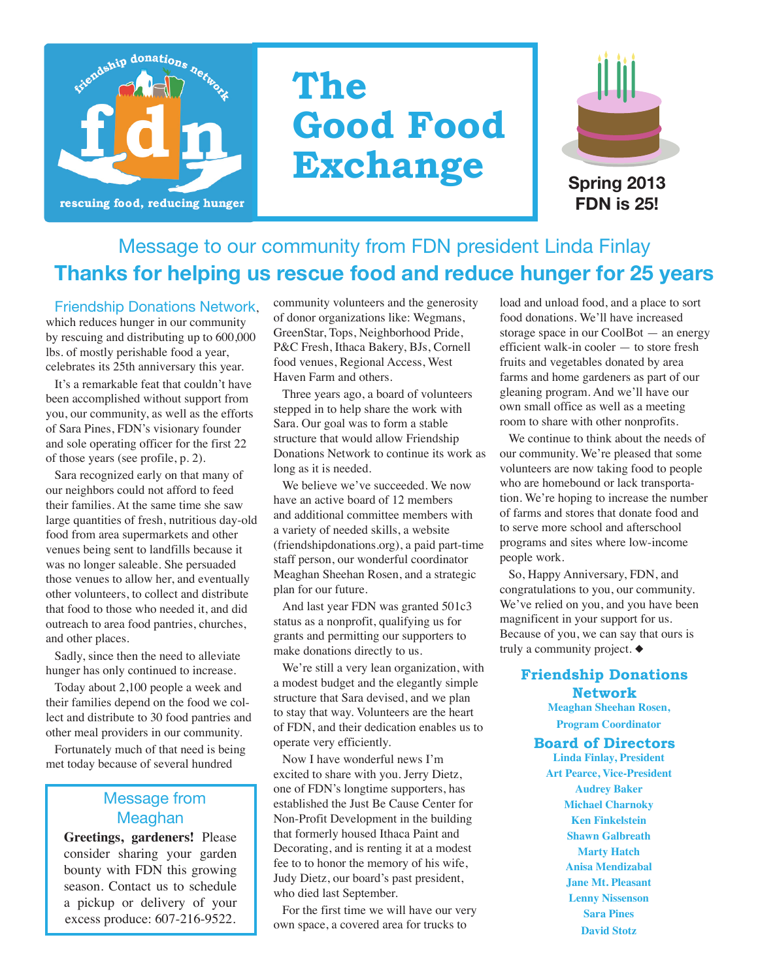

# **The Good Food Exchange**



**FDN is 25! Spring 2013**

## Message to our community from FDN president Linda Finlay **Thanks for helping us rescue food and reduce hunger for 25 years**

Friendship Donations Network, which reduces hunger in our community by rescuing and distributing up to 600,000 lbs. of mostly perishable food a year, celebrates its 25th anniversary this year.

It's a remarkable feat that couldn't have been accomplished without support from you, our community, as well as the efforts of Sara Pines, FDN's visionary founder and sole operating officer for the first 22 of those years (see profile, p. 2).

Sara recognized early on that many of our neighbors could not afford to feed their families. At the same time she saw large quantities of fresh, nutritious day-old food from area supermarkets and other venues being sent to landfills because it was no longer saleable. She persuaded those venues to allow her, and eventually other volunteers, to collect and distribute that food to those who needed it, and did outreach to area food pantries, churches, and other places.

Sadly, since then the need to alleviate hunger has only continued to increase.

Today about 2,100 people a week and their families depend on the food we collect and distribute to 30 food pantries and other meal providers in our community.

Fortunately much of that need is being met today because of several hundred

### Message from Meaghan

**Greetings, gardeners!** Please consider sharing your garden bounty with FDN this growing season. Contact us to schedule a pickup or delivery of your excess produce: 607-216-9522.

community volunteers and the generosity of donor organizations like: Wegmans, GreenStar, Tops, Neighborhood Pride, P&C Fresh, Ithaca Bakery, BJs, Cornell food venues, Regional Access, West Haven Farm and others.

Three years ago, a board of volunteers stepped in to help share the work with Sara. Our goal was to form a stable structure that would allow Friendship Donations Network to continue its work as long as it is needed.

We believe we've succeeded. We now have an active board of 12 members and additional committee members with a variety of needed skills, a website (friendshipdonations.org), a paid part-time staff person, our wonderful coordinator Meaghan Sheehan Rosen, and a strategic plan for our future.

And last year FDN was granted 501c3 status as a nonprofit, qualifying us for grants and permitting our supporters to make donations directly to us.

We're still a very lean organization, with a modest budget and the elegantly simple structure that Sara devised, and we plan to stay that way. Volunteers are the heart of FDN, and their dedication enables us to operate very efficiently.

Now I have wonderful news I'm excited to share with you. Jerry Dietz, one of FDN's longtime supporters, has established the Just Be Cause Center for Non-Profit Development in the building that formerly housed Ithaca Paint and Decorating, and is renting it at a modest fee to to honor the memory of his wife, Judy Dietz, our board's past president, who died last September.

For the first time we will have our very own space, a covered area for trucks to

load and unload food, and a place to sort food donations. We'll have increased storage space in our CoolBot — an energy efficient walk-in cooler — to store fresh fruits and vegetables donated by area farms and home gardeners as part of our gleaning program. And we'll have our own small office as well as a meeting room to share with other nonprofits.

We continue to think about the needs of our community. We're pleased that some volunteers are now taking food to people who are homebound or lack transportation. We're hoping to increase the number of farms and stores that donate food and to serve more school and afterschool programs and sites where low-income people work.

So, Happy Anniversary, FDN, and congratulations to you, our community. We've relied on you, and you have been magnificent in your support for us. Because of you, we can say that ours is truly a community project.  $\blacklozenge$ 

#### **Friendship Donations Network**

**Meaghan Sheehan Rosen, Program Coordinator Board of Directors Linda Finlay, President Art Pearce, Vice-President Audrey Baker Michael Charnoky Ken Finkelstein Shawn Galbreath Marty Hatch Anisa Mendizabal Jane Mt. Pleasant Lenny Nissenson**

**Sara Pines David Stotz**